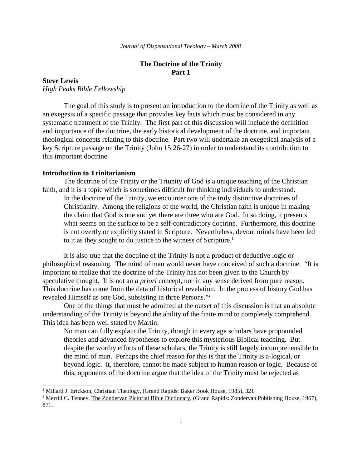# **The Doctrine of the Trinity Part 1**

## **Steve Lewis**

*High Peaks Bible Fellowship*

The goal of this study is to present an introduction to the doctrine of the Trinity as well as an exegesis of a specific passage that provides key facts which must be considered in any systematic treatment of the Trinity. The first part of this discussion will include the definition and importance of the doctrine, the early historical development of the doctrine, and important theological concepts relating to this doctrine. Part two will undertake an exegetical analysis of a key Scripture passage on the Trinity (John 15:26-27) in order to understand its contribution to this important doctrine.

### **Introduction to Trinitarianism**

The doctrine of the Trinity or the Triunity of God is a unique teaching of the Christian faith, and it is a topic which is sometimes difficult for thinking individuals to understand.

In the doctrine of the Trinity, we encounter one of the truly distinctive doctrines of Christianity. Among the religions of the world, the Christian faith is unique in making the claim that God is one and yet there are three who are God. In so doing, it presents what seems on the surface to be a self-contradictory doctrine. Furthermore, this doctrine is not overtly or explicitly stated in Scripture. Nevertheless, devout minds have been led to it as they sought to do justice to the witness of Scripture.<sup>1</sup>

It is also true that the doctrine of the Trinity is not a product of deductive logic or philosophical reasoning. The mind of man would never have conceived of such a doctrine. "It is important to realize that the doctrine of the Trinity has not been given to the Church by speculative thought. It is not an *a priori* concept, nor in any sense derived from pure reason. This doctrine has come from the data of historical revelation. In the process of history God has revealed Himself as one God, subsisting in three Persons."<sup>2</sup>

One of the things that must be admitted at the outset of this discussion is that an absolute understanding of the Trinity is beyond the ability of the finite mind to completely comprehend. This idea has been well stated by Martin:

No man can fully explain the Trinity, though in every age scholars have propounded theories and advanced hypotheses to explore this mysterious Biblical teaching. But despite the worthy efforts of these scholars, the Trinity is still largely incomprehensible to the mind of man. Perhaps the chief reason for this is that the Trinity is a-logical, or beyond logic. It, therefore, cannot be made subject to human reason or logic. Because of this, opponents of the doctrine argue that the idea of the Trinity must be rejected as

<sup>&</sup>lt;sup>1</sup> Millard J. Erickson, Christian Theology, (Grand Rapids: Baker Book House, 1985), 321.

<sup>&</sup>lt;sup>2</sup> Merrill C. Tenney, The Zondervan Pictorial Bible Dictionary, (Grand Rapids: Zondervan Publishing House, 1967), 871.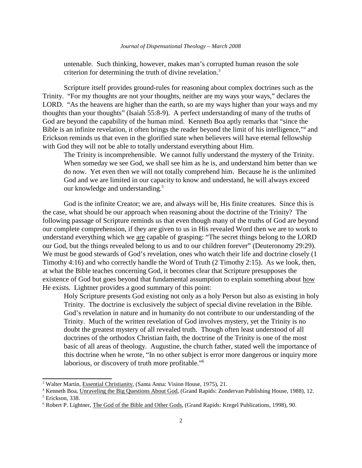untenable. Such thinking, however, makes man's corrupted human reason the sole criterion for determining the truth of divine revelation.<sup>3</sup>

Scripture itself provides ground-rules for reasoning about complex doctrines such as the Trinity. "For my thoughts are not your thoughts, neither are my ways your ways," declares the LORD. "As the heavens are higher than the earth, so are my ways higher than your ways and my thoughts than your thoughts" (Isaiah 55:8-9). A perfect understanding of many of the truths of God are beyond the capability of the human mind. Kenneth Boa aptly remarks that "since the Bible is an infinite revelation, it often brings the reader beyond the limit of his intelligence,"<sup>4</sup> and Erickson reminds us that even in the glorified state when believers will have eternal fellowship with God they will not be able to totally understand everything about Him.

The Trinity is incomprehensible. We cannot fully understand the mystery of the Trinity. When someday we see God, we shall see him as he is, and understand him better than we do now. Yet even then we will not totally comprehend him. Because he is the unlimited God and we are limited in our capacity to know and understand, he will always exceed our knowledge and understanding.<sup>5</sup>

God is the infinite Creator; we are, and always will be, His finite creatures. Since this is the case, what should be our approach when reasoning about the doctrine of the Trinity? The following passage of Scripture reminds us that even though many of the truths of God are beyond our complete comprehension, if they are given to us in His revealed Word then we are to work to understand everything which we are capable of grasping: "The secret things belong to the LORD our God, but the things revealed belong to us and to our children forever" (Deuteronomy 29:29). We must be good stewards of God's revelation, ones who watch their life and doctrine closely (1) Timothy 4:16) and who correctly handle the Word of Truth (2 Timothy 2:15). As we look, then, at what the Bible teaches concerning God, it becomes clear that Scripture presupposes the existence of God but goes beyond that fundamental assumption to explain something about how He exists. Lightner provides a good summary of this point:

Holy Scripture presents God existing not only as a holy Person but also as existing in holy Trinity. The doctrine is exclusively the subject of special divine revelation in the Bible. God's revelation in nature and in humanity do not contribute to our understanding of the Trinity. Much of the written revelation of God involves mystery, yet the Trinity is no doubt the greatest mystery of all revealed truth. Though often least understood of all doctrines of the orthodox Christian faith, the doctrine of the Trinity is one of the most basic of all areas of theology. Augustine, the church father, stated well the importance of this doctrine when he wrote, "In no other subject is error more dangerous or inquiry more laborious, or discovery of truth more profitable."<sup>6</sup>

<sup>&</sup>lt;sup>3</sup> Walter Martin, *Essential Christianity*, (Santa Anna: Vision House, 1975), 21.

<sup>&</sup>lt;sup>4</sup> Kenneth Boa, Unraveling the Big Questions About God, (Grand Rapids: Zondervan Publishing House, 1988), 12.

<sup>5</sup> Erickson, 338.

<sup>&</sup>lt;sup>6</sup> Robert P. Lightner, The God of the Bible and Other Gods, (Grand Rapids: Kregel Publications, 1998), 90.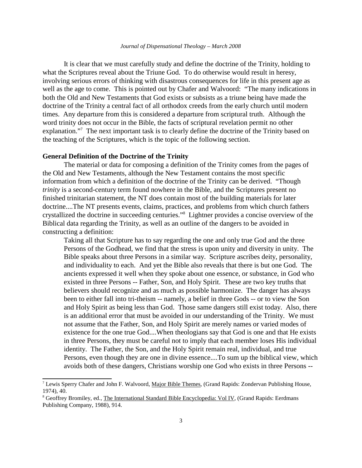#### *Journal of Dispensational Theology – March 2008*

It is clear that we must carefully study and define the doctrine of the Trinity, holding to what the Scriptures reveal about the Triune God. To do otherwise would result in heresy, involving serious errors of thinking with disastrous consequences for life in this present age as well as the age to come. This is pointed out by Chafer and Walvoord: "The many indications in both the Old and New Testaments that God exists or subsists as a triune being have made the doctrine of the Trinity a central fact of all orthodox creeds from the early church until modern times. Any departure from this is considered a departure from scriptural truth. Although the word trinity does not occur in the Bible, the facts of scriptural revelation permit no other explanation."<sup>7</sup> The next important task is to clearly define the doctrine of the Trinity based on the teaching of the Scriptures, which is the topic of the following section.

#### **General Definition of the Doctrine of the Trinity**

The material or data for composing a definition of the Trinity comes from the pages of the Old and New Testaments, although the New Testament contains the most specific information from which a definition of the doctrine of the Trinity can be derived. "Though *trinity* is a second-century term found nowhere in the Bible, and the Scriptures present no finished trinitarian statement, the NT does contain most of the building materials for later doctrine....The NT presents events, claims, practices, and problems from which church fathers crystallized the doctrine in succeeding centuries."<sup>8</sup> Lightner provides a concise overview of the Biblical data regarding the Trinity, as well as an outline of the dangers to be avoided in constructing a definition:

Taking all that Scripture has to say regarding the one and only true God and the three Persons of the Godhead, we find that the stress is upon unity and diversity in unity. The Bible speaks about three Persons in a similar way. Scripture ascribes deity, personality, and individuality to each. And yet the Bible also reveals that there is but one God. The ancients expressed it well when they spoke about one essence, or substance, in God who existed in three Persons -- Father, Son, and Holy Spirit. These are two key truths that believers should recognize and as much as possible harmonize. The danger has always been to either fall into tri-theism -- namely, a belief in three Gods -- or to view the Son and Holy Spirit as being less than God. Those same dangers still exist today. Also, there is an additional error that must be avoided in our understanding of the Trinity. We must not assume that the Father, Son, and Holy Spirit are merely names or varied modes of existence for the one true God....When theologians say that God is one and that He exists in three Persons, they must be careful not to imply that each member loses His individual identity. The Father, the Son, and the Holy Spirit remain real, individual, and true Persons, even though they are one in divine essence....To sum up the biblical view, which avoids both of these dangers, Christians worship one God who exists in three Persons --

<sup>&</sup>lt;sup>7</sup> Lewis Sperry Chafer and John F. Walvoord, Major Bible Themes, (Grand Rapids: Zondervan Publishing House, 1974), 40.

<sup>&</sup>lt;sup>8</sup> Geoffrey Bromiley, ed., The International Standard Bible Encyclopedia: Vol IV, (Grand Rapids: Eerdmans Publishing Company, 1988), 914.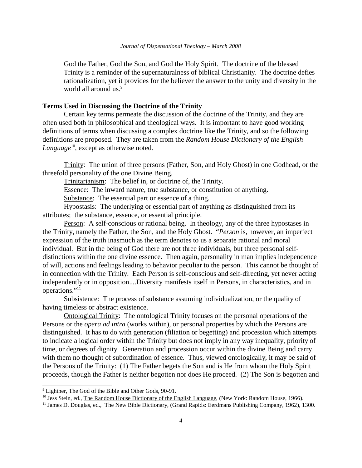God the Father, God the Son, and God the Holy Spirit. The doctrine of the blessed Trinity is a reminder of the supernaturalness of biblical Christianity. The doctrine defies rationalization, yet it provides for the believer the answer to the unity and diversity in the world all around us.<sup>9</sup>

### **Terms Used in Discussing the Doctrine of the Trinity**

Certain key terms permeate the discussion of the doctrine of the Trinity, and they are often used both in philosophical and theological ways. It is important to have good working definitions of terms when discussing a complex doctrine like the Trinity, and so the following definitions are proposed. They are taken from the *Random House Dictionary of the English Language*<sup>10</sup>, except as otherwise noted.

Trinity: The union of three persons (Father, Son, and Holy Ghost) in one Godhead, or the threefold personality of the one Divine Being.

Trinitarianism: The belief in, or doctrine of, the Trinity.

Essence: The inward nature, true substance, or constitution of anything.

Substance: The essential part or essence of a thing.

Hypostasis: The underlying or essential part of anything as distinguished from its attributes; the substance, essence, or essential principle.

Person: A self-conscious or rational being. In theology, any of the three hypostases in the Trinity, namely the Father, the Son, and the Holy Ghost. "*Person* is, however, an imperfect expression of the truth inasmuch as the term denotes to us a separate rational and moral individual. But in the being of God there are not three individuals, but three personal selfdistinctions within the one divine essence. Then again, personality in man implies independence of will, actions and feelings leading to behavior peculiar to the person. This cannot be thought of in connection with the Trinity. Each Person is self-conscious and self-directing, yet never acting independently or in opposition....Diversity manifests itself in Persons, in characteristics, and in operations."<sup>11</sup>

Subsistence: The process of substance assuming individualization, or the quality of having timeless or abstract existence.

Ontological Trinity: The ontological Trinity focuses on the personal operations of the Persons or the *opera ad intra* (works within), or personal properties by which the Persons are distinguished. It has to do with generation (filiation or begetting) and procession which attempts to indicate a logical order within the Trinity but does not imply in any way inequality, priority of time, or degrees of dignity. Generation and procession occur within the divine Being and carry with them no thought of subordination of essence. Thus, viewed ontologically, it may be said of the Persons of the Trinity: (1) The Father begets the Son and is He from whom the Holy Spirit proceeds, though the Father is neither begotten nor does He proceed. (2) The Son is begotten and

<sup>10</sup> Jess Stein, ed., <u>The Random House Dictionary of the English Language</u>, (New York: Random House, 1966).

<sup>&</sup>lt;sup>9</sup> Lightner, The God of the Bible and Other Gods, 90-91.

<sup>&</sup>lt;sup>11</sup> James D. Douglas, ed., The New Bible Dictionary, (Grand Rapids: Eerdmans Publishing Company, 1962), 1300.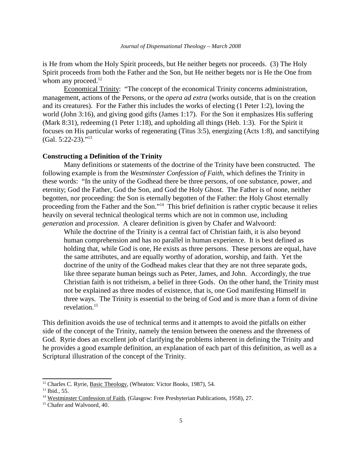is He from whom the Holy Spirit proceeds, but He neither begets nor proceeds. (3) The Holy Spirit proceeds from both the Father and the Son, but He neither begets nor is He the One from whom any proceed. $12$ 

Economical Trinity: "The concept of the economical Trinity concerns administration, management, actions of the Persons, or the *opera ad extra* (works outside, that is on the creation and its creatures). For the Father this includes the works of electing (1 Peter 1:2), loving the world (John 3:16), and giving good gifts (James 1:17). For the Son it emphasizes His suffering (Mark 8:31), redeeming (1 Peter 1:18), and upholding all things (Heb. 1:3). For the Spirit it focuses on His particular works of regenerating (Titus 3:5), energizing (Acts 1:8), and sanctifying  $(Gal. 5:22-23).$ "<sup>13</sup>

#### **Constructing a Definition of the Trinity**

Many definitions or statements of the doctrine of the Trinity have been constructed. The following example is from the *Westminster Confession of Faith*, which defines the Trinity in these words: "In the unity of the Godhead there be three persons, of one substance, power, and eternity; God the Father, God the Son, and God the Holy Ghost. The Father is of none, neither begotten, nor proceeding: the Son is eternally begotten of the Father: the Holy Ghost eternally proceeding from the Father and the Son."<sup>14</sup> This brief definition is rather cryptic because it relies heavily on several technical theological terms which are not in common use, including *generation* and *procession*. A clearer definition is given by Chafer and Walvoord:

While the doctrine of the Trinity is a central fact of Christian faith, it is also beyond human comprehension and has no parallel in human experience. It is best defined as holding that, while God is one, He exists as three persons. These persons are equal, have the same attributes, and are equally worthy of adoration, worship, and faith. Yet the doctrine of the unity of the Godhead makes clear that they are not three separate gods, like three separate human beings such as Peter, James, and John. Accordingly, the true Christian faith is not tritheism, a belief in three Gods. On the other hand, the Trinity must not be explained as three modes of existence, that is, one God manifesting Himself in three ways. The Trinity is essential to the being of God and is more than a form of divine revelation.<sup>15</sup>

This definition avoids the use of technical terms and it attempts to avoid the pitfalls on either side of the concept of the Trinity, namely the tension between the oneness and the threeness of God. Ryrie does an excellent job of clarifying the problems inherent in defining the Trinity and he provides a good example definition, an explanation of each part of this definition, as well as a Scriptural illustration of the concept of the Trinity.

<sup>&</sup>lt;sup>12</sup> Charles C. Ryrie, Basic Theology, (Wheaton: Victor Books, 1987), 54.

 $13$  Ibid., 55.

<sup>&</sup>lt;sup>14</sup> Westminster Confession of Faith, (Glasgow: Free Presbyterian Publications, 1958), 27.

<sup>&</sup>lt;sup>15</sup> Chafer and Walvoord, 40.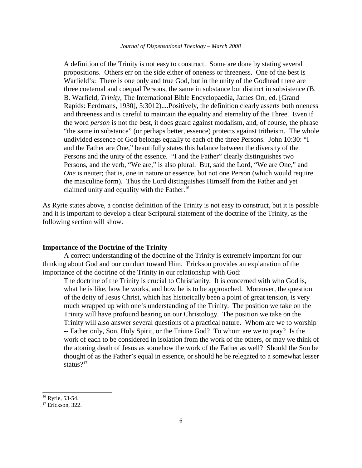A definition of the Trinity is not easy to construct. Some are done by stating several propositions. Others err on the side either of oneness or threeness. One of the best is Warfield's: There is one only and true God, but in the unity of the Godhead there are three coeternal and coequal Persons, the same in substance but distinct in subsistence (B. B. Warfield, *Trinity*, The International Bible Encyclopaedia, James Orr, ed. [Grand Rapids: Eerdmans, 1930], 5:3012)....Positively, the definition clearly asserts both oneness and threeness and is careful to maintain the equality and eternality of the Three. Even if the word *person* is not the best, it does guard against modalism, and, of course, the phrase "the same in substance" (or perhaps better, essence) protects against tritheism. The whole undivided essence of God belongs equally to each of the three Persons. John 10:30: "I and the Father are One," beautifully states this balance between the diversity of the Persons and the unity of the essence. "I and the Father" clearly distinguishes two Persons, and the verb, "We are," is also plural. But, said the Lord, "We are One," and *One* is neuter; that is, one in nature or essence, but not one Person (which would require the masculine form). Thus the Lord distinguishes Himself from the Father and yet claimed unity and equality with the Father.<sup>16</sup>

As Ryrie states above, a concise definition of the Trinity is not easy to construct, but it is possible and it is important to develop a clear Scriptural statement of the doctrine of the Trinity, as the following section will show.

#### **Importance of the Doctrine of the Trinity**

A correct understanding of the doctrine of the Trinity is extremely important for our thinking about God and our conduct toward Him. Erickson provides an explanation of the importance of the doctrine of the Trinity in our relationship with God:

The doctrine of the Trinity is crucial to Christianity. It is concerned with who God is, what he is like, how he works, and how he is to be approached. Moreover, the question of the deity of Jesus Christ, which has historically been a point of great tension, is very much wrapped up with one's understanding of the Trinity. The position we take on the Trinity will have profound bearing on our Christology. The position we take on the Trinity will also answer several questions of a practical nature. Whom are we to worship -- Father only, Son, Holy Spirit, or the Triune God? To whom are we to pray? Is the work of each to be considered in isolation from the work of the others, or may we think of the atoning death of Jesus as somehow the work of the Father as well? Should the Son be thought of as the Father's equal in essence, or should he be relegated to a somewhat lesser status?<sup>17</sup>

<sup>&</sup>lt;sup>16</sup> Ryrie, 53-54.

 $17$  Erickson, 322.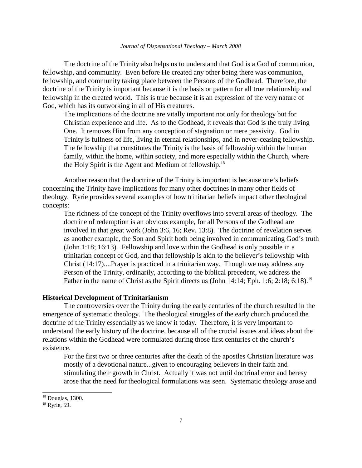The doctrine of the Trinity also helps us to understand that God is a God of communion, fellowship, and community. Even before He created any other being there was communion, fellowship, and community taking place between the Persons of the Godhead. Therefore, the doctrine of the Trinity is important because it is the basis or pattern for all true relationship and fellowship in the created world. This is true because it is an expression of the very nature of God, which has its outworking in all of His creatures.

The implications of the doctrine are vitally important not only for theology but for Christian experience and life. As to the Godhead, it reveals that God is the truly living One. It removes Him from any conception of stagnation or mere passivity. God in Trinity is fullness of life, living in eternal relationships, and in never-ceasing fellowship. The fellowship that constitutes the Trinity is the basis of fellowship within the human family, within the home, within society, and more especially within the Church, where the Holy Spirit is the Agent and Medium of fellowship.<sup>18</sup>

Another reason that the doctrine of the Trinity is important is because one's beliefs concerning the Trinity have implications for many other doctrines in many other fields of theology. Ryrie provides several examples of how trinitarian beliefs impact other theological concepts:

The richness of the concept of the Trinity overflows into several areas of theology. The doctrine of redemption is an obvious example, for all Persons of the Godhead are involved in that great work (John 3:6, 16; Rev. 13:8). The doctrine of revelation serves as another example, the Son and Spirit both being involved in communicating God's truth (John 1:18; 16:13). Fellowship and love within the Godhead is only possible in a trinitarian concept of God, and that fellowship is akin to the believer's fellowship with Christ (14:17)....Prayer is practiced in a trinitarian way. Though we may address any Person of the Trinity, ordinarily, according to the biblical precedent, we address the Father in the name of Christ as the Spirit directs us (John 14:14; Eph. 1:6; 2:18; 6:18).<sup>19</sup>

## **Historical Development of Trinitarianism**

The controversies over the Trinity during the early centuries of the church resulted in the emergence of systematic theology. The theological struggles of the early church produced the doctrine of the Trinity essentially as we know it today. Therefore, it is very important to understand the early history of the doctrine, because all of the crucial issues and ideas about the relations within the Godhead were formulated during those first centuries of the church's existence.

For the first two or three centuries after the death of the apostles Christian literature was mostly of a devotional nature...given to encouraging believers in their faith and stimulating their growth in Christ. Actually it was not until doctrinal error and heresy arose that the need for theological formulations was seen. Systematic theology arose and

<sup>18</sup> Douglas, 1300.

<sup>&</sup>lt;sup>19</sup> Ryrie, 59.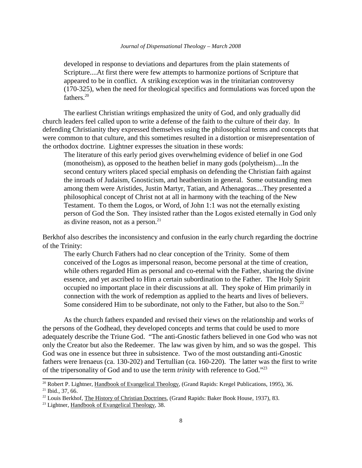developed in response to deviations and departures from the plain statements of Scripture....At first there were few attempts to harmonize portions of Scripture that appeared to be in conflict. A striking exception was in the trinitarian controversy (170-325), when the need for theological specifics and formulations was forced upon the fathers.<sup>20</sup>

The earliest Christian writings emphasized the unity of God, and only gradually did church leaders feel called upon to write a defense of the faith to the culture of their day. In defending Christianity they expressed themselves using the philosophical terms and concepts that were common to that culture, and this sometimes resulted in a distortion or misrepresentation of the orthodox doctrine. Lightner expresses the situation in these words:

The literature of this early period gives overwhelming evidence of belief in one God (monotheism), as opposed to the heathen belief in many gods (polytheism)....In the second century writers placed special emphasis on defending the Christian faith against the inroads of Judaism, Gnosticism, and heathenism in general. Some outstanding men among them were Aristides, Justin Martyr, Tatian, and Athenagoras....They presented a philosophical concept of Christ not at all in harmony with the teaching of the New Testament. To them the Logos, or Word, of John 1:1 was not the eternally existing person of God the Son. They insisted rather than the Logos existed eternally in God only as divine reason, not as a person.<sup>21</sup>

Berkhof also describes the inconsistency and confusion in the early church regarding the doctrine of the Trinity:

The early Church Fathers had no clear conception of the Trinity. Some of them conceived of the Logos as impersonal reason, become personal at the time of creation, while others regarded Him as personal and co-eternal with the Father, sharing the divine essence, and yet ascribed to Him a certain subordination to the Father. The Holy Spirit occupied no important place in their discussions at all. They spoke of Him primarily in connection with the work of redemption as applied to the hearts and lives of believers. Some considered Him to be subordinate, not only to the Father, but also to the Son.<sup>22</sup>

As the church fathers expanded and revised their views on the relationship and works of the persons of the Godhead, they developed concepts and terms that could be used to more adequately describe the Triune God. "The anti-Gnostic fathers believed in one God who was not only the Creator but also the Redeemer. The law was given by him, and so was the gospel. This God was one in essence but three in subsistence. Two of the most outstanding anti-Gnostic fathers were Irenaeus (ca. 130-202) and Tertullian (ca. 160-220). The latter was the first to write of the tripersonality of God and to use the term *trinity* with reference to God."<sup>23</sup>

<sup>20</sup> Robert P. Lightner, Handbook of Evangelical Theology, (Grand Rapids: Kregel Publications, 1995), 36.  $21$  Ibid., 37, 66.

<sup>&</sup>lt;sup>22</sup> Louis Berkhof, The History of Christian Doctrines, (Grand Rapids: Baker Book House, 1937), 83.

 $^{23}$  Lightner, Handbook of Evangelical Theology, 38.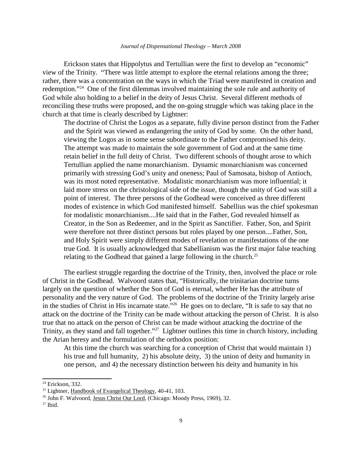Erickson states that Hippolytus and Tertullian were the first to develop an "economic" view of the Trinity. "There was little attempt to explore the eternal relations among the three; rather, there was a concentration on the ways in which the Triad were manifested in creation and redemption."<sup>24</sup> One of the first dilemmas involved maintaining the sole rule and authority of God while also holding to a belief in the deity of Jesus Christ. Several different methods of reconciling these truths were proposed, and the on-going struggle which was taking place in the church at that time is clearly described by Lightner:

The doctrine of Christ the Logos as a separate, fully divine person distinct from the Father and the Spirit was viewed as endangering the unity of God by some. On the other hand, viewing the Logos as in some sense subordinate to the Father compromised his deity. The attempt was made to maintain the sole government of God and at the same time retain belief in the full deity of Christ. Two different schools of thought arose to which Tertullian applied the name monarchianism. Dynamic monarchianism was concerned primarily with stressing God's unity and oneness; Paul of Samosata, bishop of Antioch, was its most noted representative. Modalistic monarchianism was more influential; it laid more stress on the christological side of the issue, though the unity of God was still a point of interest. The three persons of the Godhead were conceived as three different modes of existence in which God manifested himself. Sabellius was the chief spokesman for modalistic monarchianism....He said that in the Father, God revealed himself as Creator, in the Son as Redeemer, and in the Spirit as Sanctifier. Father, Son, and Spirit were therefore not three distinct persons but roles played by one person....Father, Son, and Holy Spirit were simply different modes of revelation or manifestations of the one true God. It is usually acknowledged that Sabellianism was the first major false teaching relating to the Godhead that gained a large following in the church.<sup>25</sup>

The earliest struggle regarding the doctrine of the Trinity, then, involved the place or role of Christ in the Godhead. Walvoord states that, "Historically, the trinitarian doctrine turns largely on the question of whether the Son of God is eternal, whether He has the attribute of personality and the very nature of God. The problems of the doctrine of the Trinity largely arise in the studies of Christ in His incarnate state.<sup>"26</sup> He goes on to declare, "It is safe to say that no attack on the doctrine of the Trinity can be made without attacking the person of Christ. It is also true that no attack on the person of Christ can be made without attacking the doctrine of the Trinity, as they stand and fall together."<sup>27</sup> Lightner outlines this time in church history, including the Arian heresy and the formulation of the orthodox position:

At this time the church was searching for a conception of Christ that would maintain 1) his true and full humanity, 2) his absolute deity, 3) the union of deity and humanity in one person, and 4) the necessary distinction between his deity and humanity in his

<sup>&</sup>lt;sup>24</sup> Erickson, 332.

 $25$  Lightner, Handbook of Evangelical Theology, 40-41, 103.

<sup>&</sup>lt;sup>26</sup> John F. Walvoord, Jesus Christ Our Lord, (Chicago: Moody Press, 1969), 32.

 $27$  Ibid.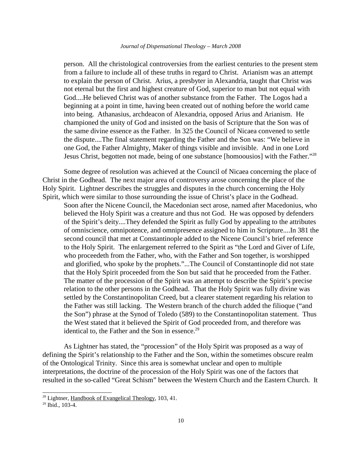person. All the christological controversies from the earliest centuries to the present stem from a failure to include all of these truths in regard to Christ. Arianism was an attempt to explain the person of Christ. Arius, a presbyter in Alexandria, taught that Christ was not eternal but the first and highest creature of God, superior to man but not equal with God....He believed Christ was of another substance from the Father. The Logos had a beginning at a point in time, having been created out of nothing before the world came into being. Athanasius, archdeacon of Alexandria, opposed Arius and Arianism. He championed the unity of God and insisted on the basis of Scripture that the Son was of the same divine essence as the Father. In 325 the Council of Nicaea convened to settle the dispute....The final statement regarding the Father and the Son was: "We believe in one God, the Father Almighty, Maker of things visible and invisible. And in one Lord Jesus Christ, begotten not made, being of one substance [homoousios] with the Father."<sup>28</sup>

Some degree of resolution was achieved at the Council of Nicaea concerning the place of Christ in the Godhead. The next major area of controversy arose concerning the place of the Holy Spirit. Lightner describes the struggles and disputes in the church concerning the Holy Spirit, which were similar to those surrounding the issue of Christ's place in the Godhead.

Soon after the Nicene Council, the Macedonian sect arose, named after Macedonius, who believed the Holy Spirit was a creature and thus not God. He was opposed by defenders of the Spirit's deity....They defended the Spirit as fully God by appealing to the attributes of omniscience, omnipotence, and omnipresence assigned to him in Scripture....In 381 the second council that met at Constantinople added to the Nicene Council's brief reference to the Holy Spirit. The enlargement referred to the Spirit as "the Lord and Giver of Life, who proceedeth from the Father, who, with the Father and Son together, is worshipped and glorified, who spoke by the prophets."...The Council of Constantinople did not state that the Holy Spirit proceeded from the Son but said that he proceeded from the Father. The matter of the procession of the Spirit was an attempt to describe the Spirit's precise relation to the other persons in the Godhead. That the Holy Spirit was fully divine was settled by the Constantinopolitan Creed, but a clearer statement regarding his relation to the Father was still lacking. The Western branch of the church added the filioque ("and the Son") phrase at the Synod of Toledo (589) to the Constantinopolitan statement. Thus the West stated that it believed the Spirit of God proceeded from, and therefore was identical to, the Father and the Son in essence.<sup>29</sup>

As Lightner has stated, the "procession" of the Holy Spirit was proposed as a way of defining the Spirit's relationship to the Father and the Son, within the sometimes obscure realm of the Ontological Trinity. Since this area is somewhat unclear and open to multiple interpretations, the doctrine of the procession of the Holy Spirit was one of the factors that resulted in the so-called "Great Schism" between the Western Church and the Eastern Church. It

<sup>&</sup>lt;sup>28</sup> Lightner, Handbook of Evangelical Theology, 103, 41.

 $29$  Ibid., 103-4.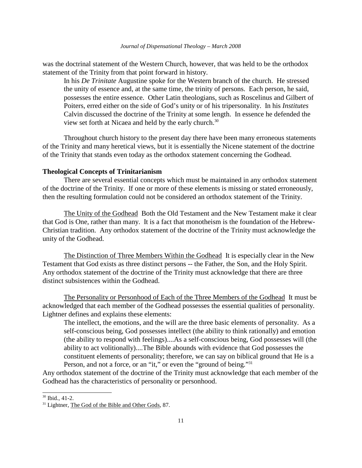was the doctrinal statement of the Western Church, however, that was held to be the orthodox statement of the Trinity from that point forward in history.

In his *De Trinitate* Augustine spoke for the Western branch of the church. He stressed the unity of essence and, at the same time, the trinity of persons. Each person, he said, possesses the entire essence. Other Latin theologians, such as Roscelinus and Gilbert of Poiters, erred either on the side of God's unity or of his tripersonality. In his *Institutes* Calvin discussed the doctrine of the Trinity at some length. In essence he defended the view set forth at Nicaea and held by the early church.<sup>30</sup>

Throughout church history to the present day there have been many erroneous statements of the Trinity and many heretical views, but it is essentially the Nicene statement of the doctrine of the Trinity that stands even today as the orthodox statement concerning the Godhead.

#### **Theological Concepts of Trinitarianism**

There are several essential concepts which must be maintained in any orthodox statement of the doctrine of the Trinity. If one or more of these elements is missing or stated erroneously, then the resulting formulation could not be considered an orthodox statement of the Trinity.

The Unity of the Godhead Both the Old Testament and the New Testament make it clear that God is One, rather than many. It is a fact that monotheism is the foundation of the Hebrew-Christian tradition. Any orthodox statement of the doctrine of the Trinity must acknowledge the unity of the Godhead.

The Distinction of Three Members Within the Godhead It is especially clear in the New Testament that God exists as three distinct persons -- the Father, the Son, and the Holy Spirit. Any orthodox statement of the doctrine of the Trinity must acknowledge that there are three distinct subsistences within the Godhead.

The Personality or Personhood of Each of the Three Members of the Godhead It must be acknowledged that each member of the Godhead possesses the essential qualities of personality. Lightner defines and explains these elements:

The intellect, the emotions, and the will are the three basic elements of personality. As a self-conscious being, God possesses intellect (the ability to think rationally) and emotion (the ability to respond with feelings)....As a self-conscious being, God possesses will (the ability to act volitionally)....The Bible abounds with evidence that God possesses the constituent elements of personality; therefore, we can say on biblical ground that He is a Person, and not a force, or an "it," or even the "ground of being."<sup>31</sup>

Any orthodox statement of the doctrine of the Trinity must acknowledge that each member of the Godhead has the characteristics of personality or personhood.

<sup>30</sup> Ibid., 41-2.

<sup>&</sup>lt;sup>31</sup> Lightner, The God of the Bible and Other Gods, 87.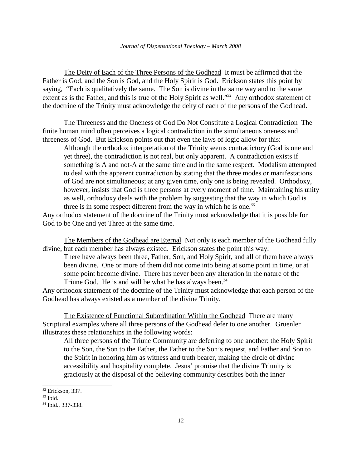The Deity of Each of the Three Persons of the Godhead It must be affirmed that the Father is God, and the Son is God, and the Holy Spirit is God. Erickson states this point by saying, "Each is qualitatively the same. The Son is divine in the same way and to the same extent as is the Father, and this is true of the Holy Spirit as well."<sup>32</sup> Any orthodox statement of the doctrine of the Trinity must acknowledge the deity of each of the persons of the Godhead.

The Threeness and the Oneness of God Do Not Constitute a Logical Contradiction The finite human mind often perceives a logical contradiction in the simultaneous oneness and threeness of God. But Erickson points out that even the laws of logic allow for this:

Although the orthodox interpretation of the Trinity seems contradictory (God is one and yet three), the contradiction is not real, but only apparent. A contradiction exists if something is A and not-A at the same time and in the same respect. Modalism attempted to deal with the apparent contradiction by stating that the three modes or manifestations of God are not simultaneous; at any given time, only one is being revealed. Orthodoxy, however, insists that God is three persons at every moment of time. Maintaining his unity as well, orthodoxy deals with the problem by suggesting that the way in which God is three is in some respect different from the way in which he is one.<sup>33</sup>

Any orthodox statement of the doctrine of the Trinity must acknowledge that it is possible for God to be One and yet Three at the same time.

The Members of the Godhead are Eternal Not only is each member of the Godhead fully divine, but each member has always existed. Erickson states the point this way:

There have always been three, Father, Son, and Holy Spirit, and all of them have always been divine. One or more of them did not come into being at some point in time, or at some point become divine. There has never been any alteration in the nature of the Triune God. He is and will be what he has always been.<sup>34</sup>

Any orthodox statement of the doctrine of the Trinity must acknowledge that each person of the Godhead has always existed as a member of the divine Trinity.

The Existence of Functional Subordination Within the Godhead There are many Scriptural examples where all three persons of the Godhead defer to one another. Gruenler illustrates these relationships in the following words:

All three persons of the Triune Community are deferring to one another: the Holy Spirit to the Son, the Son to the Father, the Father to the Son's request, and Father and Son to the Spirit in honoring him as witness and truth bearer, making the circle of divine accessibility and hospitality complete. Jesus' promise that the divine Triunity is graciously at the disposal of the believing community describes both the inner

<sup>&</sup>lt;sup>32</sup> Erickson, 337.

<sup>33</sup> Ibid.

<sup>34</sup> Ibid., 337-338.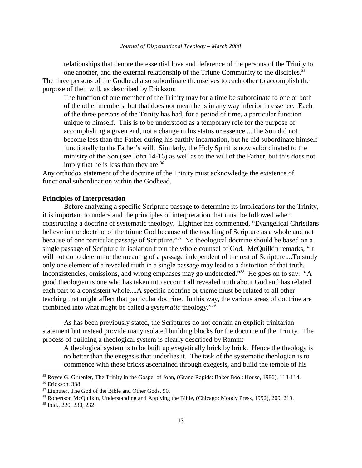relationships that denote the essential love and deference of the persons of the Trinity to one another, and the external relationship of the Triune Community to the disciples.<sup>35</sup> The three persons of the Godhead also subordinate themselves to each other to accomplish the purpose of their will, as described by Erickson:

The function of one member of the Trinity may for a time be subordinate to one or both of the other members, but that does not mean he is in any way inferior in essence. Each of the three persons of the Trinity has had, for a period of time, a particular function unique to himself. This is to be understood as a temporary role for the purpose of accomplishing a given end, not a change in his status or essence....The Son did not become less than the Father during his earthly incarnation, but he did subordinate himself functionally to the Father's will. Similarly, the Holy Spirit is now subordinated to the ministry of the Son (see John 14-16) as well as to the will of the Father, but this does not imply that he is less than they are.<sup>36</sup>

Any orthodox statement of the doctrine of the Trinity must acknowledge the existence of functional subordination within the Godhead.

### **Principles of Interpretation**

Before analyzing a specific Scripture passage to determine its implications for the Trinity, it is important to understand the principles of interpretation that must be followed when constructing a doctrine of systematic theology. Lightner has commented, "Evangelical Christians believe in the doctrine of the triune God because of the teaching of Scripture as a whole and not because of one particular passage of Scripture."<sup>37</sup> No theological doctrine should be based on a single passage of Scripture in isolation from the whole counsel of God. McQuilkin remarks, "It will not do to determine the meaning of a passage independent of the rest of Scripture....To study only one element of a revealed truth in a single passage may lead to a distortion of that truth. Inconsistencies, omissions, and wrong emphases may go undetected."<sup>38</sup> He goes on to say: "A good theologian is one who has taken into account all revealed truth about God and has related each part to a consistent whole....A specific doctrine or theme must be related to all other teaching that might affect that particular doctrine. In this way, the various areas of doctrine are combined into what might be called a *systematic* theology."<sup>39</sup>

As has been previously stated, the Scriptures do not contain an explicit trinitarian statement but instead provide many isolated building blocks for the doctrine of the Trinity. The process of building a theological system is clearly described by Ramm:

A theological system is to be built up exegetically brick by brick. Hence the theology is no better than the exegesis that underlies it. The task of the systematic theologian is to commence with these bricks ascertained through exegesis, and build the temple of his

<sup>&</sup>lt;sup>35</sup> Royce G. Gruenler, The Trinity in the Gospel of John, (Grand Rapids: Baker Book House, 1986), 113-114. <sup>36</sup> Erickson, 338.

<sup>&</sup>lt;sup>37</sup> Lightner, The God of the Bible and Other Gods, 90.

<sup>38</sup> Robertson McQuilkin, Understanding and Applying the Bible, (Chicago: Moody Press, 1992), 209, 219.

<sup>39</sup> Ibid., 220, 230, 232.